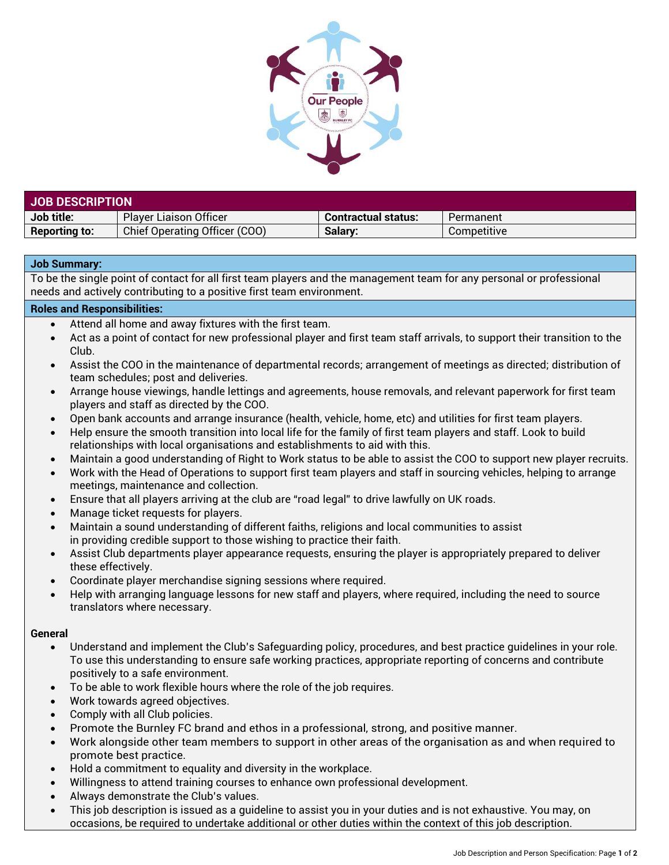

| <b>JOB DESCRIPTION</b> |                               |                            |             |  |
|------------------------|-------------------------------|----------------------------|-------------|--|
| Job title:             | <b>Player Liaison Officer</b> | <b>Contractual status:</b> | Permanent   |  |
| <b>Reporting to:</b>   | Chief Operating Officer (COO) | Salarv:                    | Competitive |  |

## **Job Summary:**

To be the single point of contact for all first team players and the management team for any personal or professional needs and actively contributing to a positive first team environment.

## **Roles and Responsibilities:**

- Attend all home and away fixtures with the first team.
- Act as a point of contact for new professional player and first team staff arrivals, to support their transition to the Club.
- Assist the COO in the maintenance of departmental records; arrangement of meetings as directed; distribution of team schedules; post and deliveries.
- Arrange house viewings, handle lettings and agreements, house removals, and relevant paperwork for first team players and staff as directed by the COO.
- Open bank accounts and arrange insurance (health, vehicle, home, etc) and utilities for first team players.
- Help ensure the smooth transition into local life for the family of first team players and staff. Look to build relationships with local organisations and establishments to aid with this.
- Maintain a good understanding of Right to Work status to be able to assist the COO to support new player recruits.
- Work with the Head of Operations to support first team players and staff in sourcing vehicles, helping to arrange meetings, maintenance and collection.
- Ensure that all players arriving at the club are "road legal" to drive lawfully on UK roads.
- Manage ticket requests for players.
- Maintain a sound understanding of different faiths, religions and local communities to assist in providing credible support to those wishing to practice their faith.
- Assist Club departments player appearance requests, ensuring the player is appropriately prepared to deliver these effectively.
- Coordinate player merchandise signing sessions where required.
- Help with arranging language lessons for new staff and players, where required, including the need to source translators where necessary.

## **General**

- Understand and implement the Club's Safeguarding policy, procedures, and best practice guidelines in your role. To use this understanding to ensure safe working practices, appropriate reporting of concerns and contribute positively to a safe environment.
- To be able to work flexible hours where the role of the job requires.
- Work towards agreed objectives.
- Comply with all Club policies.
- Promote the Burnley FC brand and ethos in a professional, strong, and positive manner.
- Work alongside other team members to support in other areas of the organisation as and when required to promote best practice.
- Hold a commitment to equality and diversity in the workplace.
- Willingness to attend training courses to enhance own professional development.
- Always demonstrate the Club's values.
- This job description is issued as a guideline to assist you in your duties and is not exhaustive. You may, on occasions, be required to undertake additional or other duties within the context of this job description.